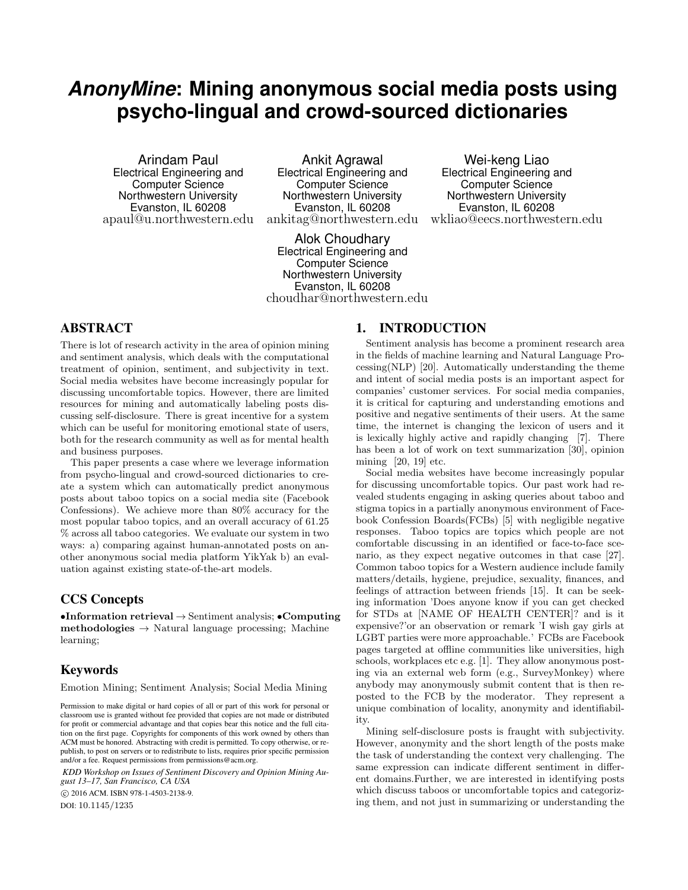# *AnonyMine***: Mining anonymous social media posts using psycho-lingual and crowd-sourced dictionaries**

Arindam Paul Electrical Engineering and Computer Science Northwestern University Evanston, IL 60208 apaul@u.northwestern.edu

Ankit Agrawal Electrical Engineering and Computer Science Northwestern University Evanston, IL 60208 ankitag@northwestern.edu

Alok Choudhary Electrical Engineering and Computer Science Northwestern University Evanston, IL 60208 choudhar@northwestern.edu

# ABSTRACT

There is lot of research activity in the area of opinion mining and sentiment analysis, which deals with the computational treatment of opinion, sentiment, and subjectivity in text. Social media websites have become increasingly popular for discussing uncomfortable topics. However, there are limited resources for mining and automatically labeling posts discussing self-disclosure. There is great incentive for a system which can be useful for monitoring emotional state of users, both for the research community as well as for mental health and business purposes.

This paper presents a case where we leverage information from psycho-lingual and crowd-sourced dictionaries to create a system which can automatically predict anonymous posts about taboo topics on a social media site (Facebook Confessions). We achieve more than 80% accuracy for the most popular taboo topics, and an overall accuracy of 61.25 % across all taboo categories. We evaluate our system in two ways: a) comparing against human-annotated posts on another anonymous social media platform YikYak b) an evaluation against existing state-of-the-art models.

# CCS Concepts

•Information retrieval  $\rightarrow$  Sentiment analysis; •Computing  $\mathbf{methodologies} \rightarrow \mathbf{Natural}$  language processing; Machine learning;

# Keywords

Emotion Mining; Sentiment Analysis; Social Media Mining

*KDD Workshop on Issues of Sentiment Discovery and Opinion Mining August 13–17, San Francisco, CA USA*

@ 2016 ACM. ISBN 978-1-4503-2138-9.

DOI: 10.1145/1235

## 1. INTRODUCTION

Sentiment analysis has become a prominent research area in the fields of machine learning and Natural Language Processing(NLP) [20]. Automatically understanding the theme and intent of social media posts is an important aspect for companies' customer services. For social media companies, it is critical for capturing and understanding emotions and positive and negative sentiments of their users. At the same time, the internet is changing the lexicon of users and it is lexically highly active and rapidly changing [7]. There has been a lot of work on text summarization [30], opinion mining [20, 19] etc.

Wei-keng Liao Electrical Engineering and Computer Science Northwestern University Evanston, IL 60208 wkliao@eecs.northwestern.edu

Social media websites have become increasingly popular for discussing uncomfortable topics. Our past work had revealed students engaging in asking queries about taboo and stigma topics in a partially anonymous environment of Facebook Confession Boards(FCBs) [5] with negligible negative responses. Taboo topics are topics which people are not comfortable discussing in an identified or face-to-face scenario, as they expect negative outcomes in that case [27]. Common taboo topics for a Western audience include family matters/details, hygiene, prejudice, sexuality, finances, and feelings of attraction between friends [15]. It can be seeking information 'Does anyone know if you can get checked for STDs at [NAME OF HEALTH CENTER]? and is it expensive?'or an observation or remark 'I wish gay girls at LGBT parties were more approachable.' FCBs are Facebook pages targeted at offline communities like universities, high schools, workplaces etc e.g. [1]. They allow anonymous posting via an external web form (e.g., SurveyMonkey) where anybody may anonymously submit content that is then reposted to the FCB by the moderator. They represent a unique combination of locality, anonymity and identifiability.

Mining self-disclosure posts is fraught with subjectivity. However, anonymity and the short length of the posts make the task of understanding the context very challenging. The same expression can indicate different sentiment in different domains.Further, we are interested in identifying posts which discuss taboos or uncomfortable topics and categorizing them, and not just in summarizing or understanding the

Permission to make digital or hard copies of all or part of this work for personal or classroom use is granted without fee provided that copies are not made or distributed for profit or commercial advantage and that copies bear this notice and the full citation on the first page. Copyrights for components of this work owned by others than ACM must be honored. Abstracting with credit is permitted. To copy otherwise, or republish, to post on servers or to redistribute to lists, requires prior specific permission and/or a fee. Request permissions from permissions@acm.org.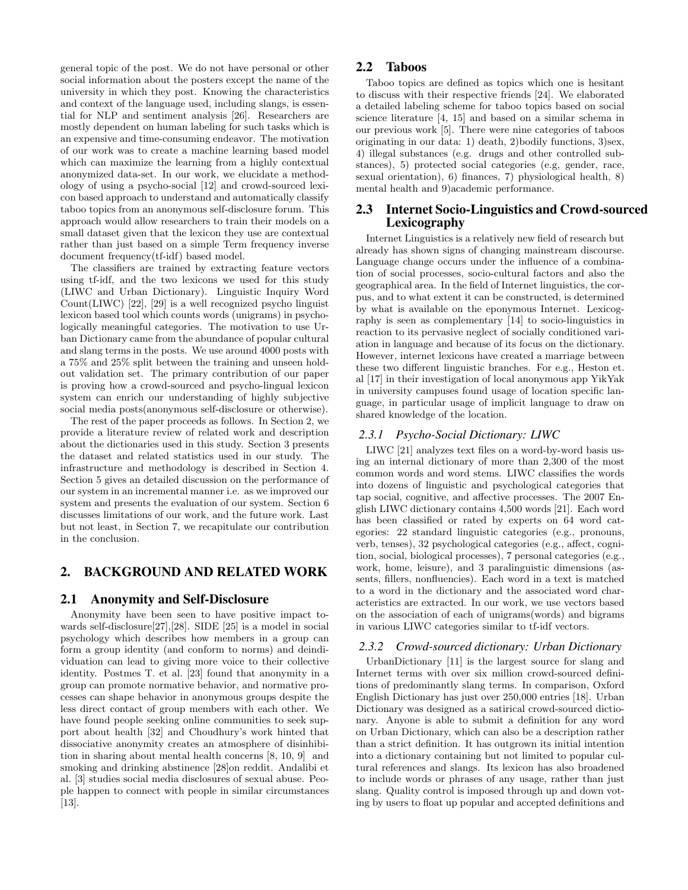general topic of the post. We do not have personal or other social information about the posters except the name of the university in which they post. Knowing the characteristics and context of the language used, including slangs, is essential for NLP and sentiment analysis [26]. Researchers are mostly dependent on human labeling for such tasks which is an expensive and time-consuming endeavor. The motivation of our work was to create a machine learning based model which can maximize the learning from a highly contextual anonymized data-set. In our work, we elucidate a methodology of using a psycho-social [12] and crowd-sourced lexicon based approach to understand and automatically classify taboo topics from an anonymous self-disclosure forum. This approach would allow researchers to train their models on a small dataset given that the lexicon they use are contextual rather than just based on a simple Term frequency inverse document frequency(tf-idf) based model.

The classifiers are trained by extracting feature vectors using tf-idf, and the two lexicons we used for this study (LIWC and Urban Dictionary). Linguistic Inquiry Word Count(LIWC) [22], [29] is a well recognized psycho linguist lexicon based tool which counts words (unigrams) in psychologically meaningful categories. The motivation to use Urban Dictionary came from the abundance of popular cultural and slang terms in the posts. We use around 4000 posts with a 75% and 25% split between the training and unseen holdout validation set. The primary contribution of our paper is proving how a crowd-sourced and psycho-lingual lexicon system can enrich our understanding of highly subjective social media posts(anonymous self-disclosure or otherwise).

The rest of the paper proceeds as follows. In Section 2, we provide a literature review of related work and description about the dictionaries used in this study. Section 3 presents the dataset and related statistics used in our study. The infrastructure and methodology is described in Section 4. Section 5 gives an detailed discussion on the performance of our system in an incremental manner i.e. as we improved our system and presents the evaluation of our system. Section 6 discusses limitations of our work, and the future work. Last but not least, in Section 7, we recapitulate our contribution in the conclusion.

## 2. BACKGROUND AND RELATED WORK

#### 2.1 Anonymity and Self-Disclosure

Anonymity have been seen to have positive impact towards self-disclosure[27],[28]. SIDE [25] is a model in social psychology which describes how members in a group can form a group identity (and conform to norms) and deindividuation can lead to giving more voice to their collective identity. Postmes T. et al. [23] found that anonymity in a group can promote normative behavior, and normative processes can shape behavior in anonymous groups despite the less direct contact of group members with each other. We have found people seeking online communities to seek support about health [32] and Choudhury's work hinted that dissociative anonymity creates an atmosphere of disinhibition in sharing about mental health concerns [8, 10, 9] and smoking and drinking abstinence [28]on reddit. Andalibi et al. [3] studies social media disclosures of sexual abuse. People happen to connect with people in similar circumstances [13].

#### 2.2 Taboos

Taboo topics are defined as topics which one is hesitant to discuss with their respective friends [24]. We elaborated a detailed labeling scheme for taboo topics based on social science literature [4, 15] and based on a similar schema in our previous work [5]. There were nine categories of taboos originating in our data: 1) death, 2)bodily functions, 3)sex, 4) illegal substances (e.g. drugs and other controlled substances), 5) protected social categories (e.g, gender, race, sexual orientation), 6) finances, 7) physiological health, 8) mental health and 9)academic performance.

## 2.3 Internet Socio-Linguistics and Crowd-sourced Lexicography

Internet Linguistics is a relatively new field of research but already has shown signs of changing mainstream discourse. Language change occurs under the influence of a combination of social processes, socio-cultural factors and also the geographical area. In the field of Internet linguistics, the corpus, and to what extent it can be constructed, is determined by what is available on the eponymous Internet. Lexicography is seen as complementary [14] to socio-linguistics in reaction to its pervasive neglect of socially conditioned variation in language and because of its focus on the dictionary. However, internet lexicons have created a marriage between these two different linguistic branches. For e.g., Heston et. al [17] in their investigation of local anonymous app YikYak in university campuses found usage of location specific language, in particular usage of implicit language to draw on shared knowledge of the location.

#### *2.3.1 Psycho-Social Dictionary: LIWC*

LIWC [21] analyzes text files on a word-by-word basis using an internal dictionary of more than 2,300 of the most common words and word stems. LIWC classifies the words into dozens of linguistic and psychological categories that tap social, cognitive, and affective processes. The 2007 English LIWC dictionary contains 4,500 words [21]. Each word has been classified or rated by experts on 64 word categories: 22 standard linguistic categories (e.g., pronouns, verb, tenses), 32 psychological categories (e.g., affect, cognition, social, biological processes), 7 personal categories (e.g., work, home, leisure), and 3 paralinguistic dimensions (assents, fillers, nonfluencies). Each word in a text is matched to a word in the dictionary and the associated word characteristics are extracted. In our work, we use vectors based on the association of each of unigrams(words) and bigrams in various LIWC categories similar to tf-idf vectors.

#### *2.3.2 Crowd-sourced dictionary: Urban Dictionary*

UrbanDictionary [11] is the largest source for slang and Internet terms with over six million crowd-sourced definitions of predominantly slang terms. In comparison, Oxford English Dictionary has just over 250,000 entries [18]. Urban Dictionary was designed as a satirical crowd-sourced dictionary. Anyone is able to submit a definition for any word on Urban Dictionary, which can also be a description rather than a strict definition. It has outgrown its initial intention into a dictionary containing but not limited to popular cultural references and slangs. Its lexicon has also broadened to include words or phrases of any usage, rather than just slang. Quality control is imposed through up and down voting by users to float up popular and accepted definitions and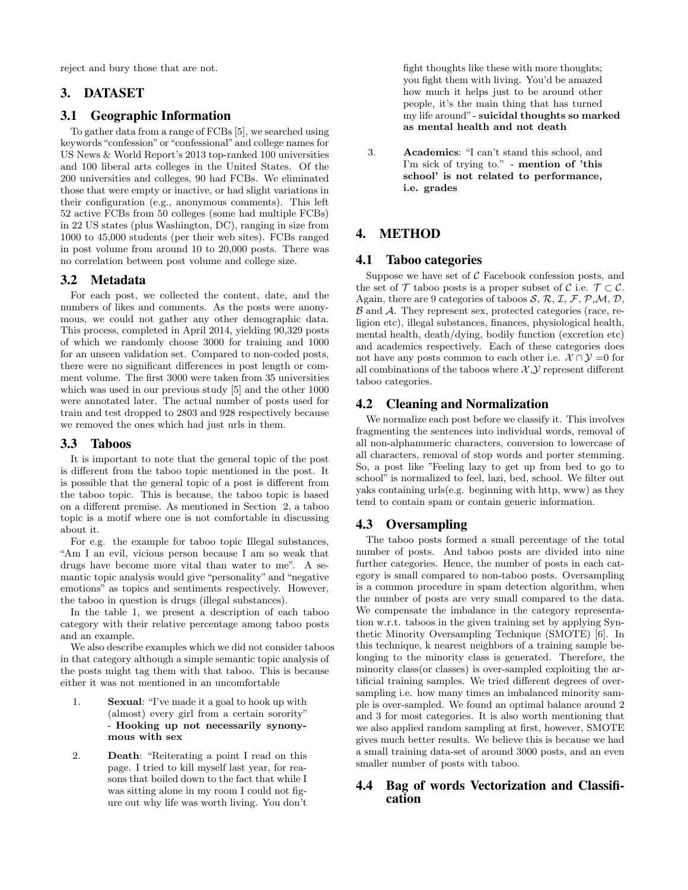reject and bury those that are not.

# 3. DATASET

## 3.1 Geographic Information

To gather data from a range of FCBs [5], we searched using keywords "confession" or "confessional" and college names for US News & World Report's 2013 top-ranked 100 universities and 100 liberal arts colleges in the United States. Of the 200 universities and colleges, 90 had FCBs. We eliminated those that were empty or inactive, or had slight variations in their configuration (e.g., anonymous comments). This left 52 active FCBs from 50 colleges (some had multiple FCBs) in 22 US states (plus Washington, DC), ranging in size from 1000 to 45,000 students (per their web sites). FCBs ranged in post volume from around 10 to 20,000 posts. There was no correlation between post volume and college size.

## 3.2 Metadata

For each post, we collected the content, date, and the numbers of likes and comments. As the posts were anonymous, we could not gather any other demographic data. This process, completed in April 2014, yielding 90,329 posts of which we randomly choose 3000 for training and 1000 for an unseen validation set. Compared to non-coded posts, there were no significant differences in post length or comment volume. The first 3000 were taken from 35 universities which was used in our previous study [5] and the other 1000 were annotated later. The actual number of posts used for train and test dropped to 2803 and 928 respectively because we removed the ones which had just urls in them.

## 3.3 Taboos

It is important to note that the general topic of the post is different from the taboo topic mentioned in the post. It is possible that the general topic of a post is different from the taboo topic. This is because, the taboo topic is based on a different premise. As mentioned in Section 2, a taboo topic is a motif where one is not comfortable in discussing about it.

For e.g. the example for taboo topic Illegal substances, "Am I an evil, vicious person because I am so weak that drugs have become more vital than water to me". A semantic topic analysis would give "personality" and "negative emotions" as topics and sentiments respectively. However, the taboo in question is drugs (illegal substances).

In the table 1, we present a description of each taboo category with their relative percentage among taboo posts and an example.

We also describe examples which we did not consider taboos in that category although a simple semantic topic analysis of the posts might tag them with that taboo. This is because either it was not mentioned in an uncomfortable

- 1. Sexual: "I've made it a goal to hook up with (almost) every girl from a certain sorority" - Hooking up not necessarily synonymous with sex
- 2. Death: "Reiterating a point I read on this page. I tried to kill myself last year, for reasons that boiled down to the fact that while I was sitting alone in my room I could not figure out why life was worth living. You don't

fight thoughts like these with more thoughts; you fight them with living. You'd be amazed how much it helps just to be around other people, it's the main thing that has turned my life around" - suicidal thoughts so marked as mental health and not death

3. Academics: "I can't stand this school, and I'm sick of trying to." - mention of 'this school' is not related to performance, i.e. grades

# 4. METHOD

## 4.1 Taboo categories

Suppose we have set of  $\mathcal C$  Facebook confession posts, and the set of  $\mathcal T$  taboo posts is a proper subset of  $\mathcal C$  i.e.  $\mathcal T \subset \mathcal C$ . Again, there are 9 categories of taboos  $S$ ,  $R$ ,  $\mathcal{I}$ ,  $\mathcal{F}$ ,  $\mathcal{P}$ ,  $\mathcal{M}$ ,  $\mathcal{D}$ , B and A. They represent sex, protected categories (race, religion etc), illegal substances, finances, physiological health, mental health, death/dying, bodily function (excretion etc) and academics respectively. Each of these categories does not have any posts common to each other i.e.  $\mathcal{X} \cap \mathcal{Y} = 0$  for all combinations of the taboos where  $X, Y$  represent different taboo categories.

## 4.2 Cleaning and Normalization

We normalize each post before we classify it. This involves fragmenting the sentences into individual words, removal of all non-alphanumeric characters, conversion to lowercase of all characters, removal of stop words and porter stemming. So, a post like "Feeling lazy to get up from bed to go to school" is normalized to feel, lazi, bed, school. We filter out yaks containing urls(e.g. beginning with http, www) as they tend to contain spam or contain generic information.

## 4.3 Oversampling

The taboo posts formed a small percentage of the total number of posts. And taboo posts are divided into nine further categories. Hence, the number of posts in each category is small compared to non-taboo posts. Oversampling is a common procedure in spam detection algorithm, when the number of posts are very small compared to the data. We compensate the imbalance in the category representation w.r.t. taboos in the given training set by applying Synthetic Minority Oversampling Technique (SMOTE) [6]. In this technique, k nearest neighbors of a training sample belonging to the minority class is generated. Therefore, the minority class(or classes) is over-sampled exploiting the artificial training samples. We tried different degrees of oversampling i.e. how many times an imbalanced minority sample is over-sampled. We found an optimal balance around 2 and 3 for most categories. It is also worth mentioning that we also applied random sampling at first, however, SMOTE gives much better results. We believe this is because we had a small training data-set of around 3000 posts, and an even smaller number of posts with taboo.

## 4.4 Bag of words Vectorization and Classification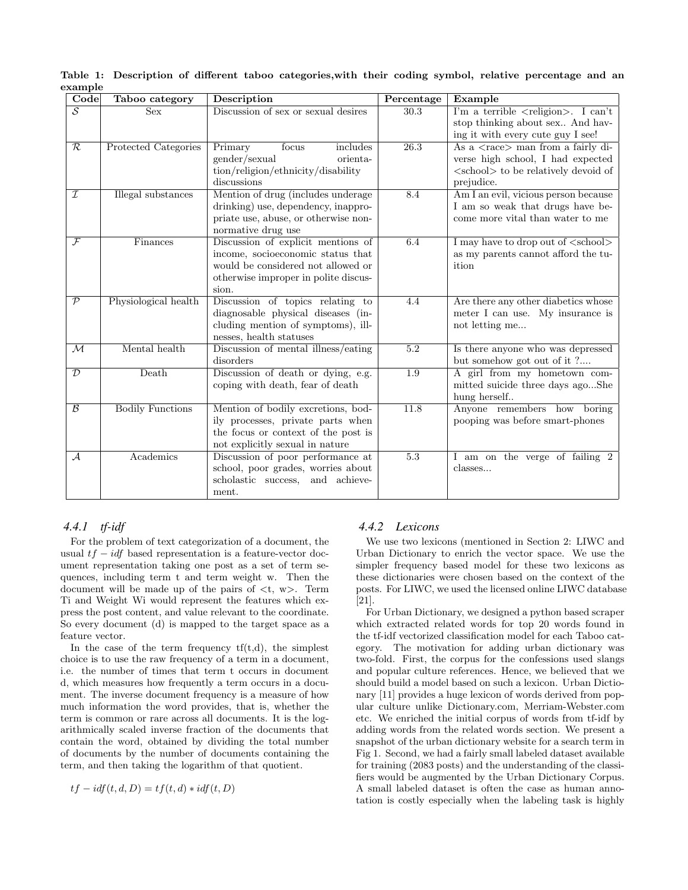| Code                     | Taboo category          | Description                                                                                                                                                    | Percentage        | Example                                                                                                                                                      |
|--------------------------|-------------------------|----------------------------------------------------------------------------------------------------------------------------------------------------------------|-------------------|--------------------------------------------------------------------------------------------------------------------------------------------------------------|
| $\overline{\mathcal{S}}$ | <b>Sex</b>              | Discussion of sex or sexual desires                                                                                                                            | 30.3              | I'm a terrible $\langle$ religion $\rangle$ . I can't<br>stop thinking about sex And hav-<br>ing it with every cute guy I see!                               |
| $\overline{\mathcal{R}}$ | Protected Categories    | Primary<br>includes<br>focus<br>gender/sexual<br>orienta-<br>tion/religion/ethnicity/disability<br>discussions                                                 | $\overline{26.3}$ | As a $\langle \text{race} \rangle$ man from a fairly di-<br>verse high school, I had expected<br><school> to be relatively devoid of<br/>prejudice.</school> |
| $\mathcal I$             | Illegal substances      | Mention of drug (includes underage<br>drinking) use, dependency, inappro-<br>priate use, abuse, or otherwise non-<br>normative drug use                        | 8.4               | Am I an evil, vicious person because<br>I am so weak that drugs have be-<br>come more vital than water to me                                                 |
| $\mathcal{F}$            | Finances                | Discussion of explicit mentions of<br>income, socioeconomic status that<br>would be considered not allowed or<br>otherwise improper in polite discus-<br>sion. | 6.4               | I may have to drop out of <school><br/>as my parents cannot afford the tu-<br/>ition</school>                                                                |
| $\overline{\mathcal{P}}$ | Physiological health    | Discussion of topics relating to<br>diagnosable physical diseases (in-<br>cluding mention of symptoms), ill-<br>nesses, health statuses                        | 4.4               | Are there any other diabetics whose<br>meter I can use. My insurance is<br>not letting me                                                                    |
| $\overline{\mathcal{M}}$ | Mental health           | Discussion of mental illness/eating<br>disorders                                                                                                               | $\overline{5.2}$  | Is there anyone who was depressed<br>but somehow got out of it ?                                                                                             |
| $\mathcal{D}$            | Death                   | Discussion of death or dying, e.g.<br>coping with death, fear of death                                                                                         | 1.9               | A girl from my hometown com-<br>mitted suicide three days agoShe<br>hung herself                                                                             |
| $\overline{\mathcal{B}}$ | <b>Bodily Functions</b> | Mention of bodily excretions, bod-<br>ily processes, private parts when<br>the focus or context of the post is<br>not explicitly sexual in nature              | 11.8              | Anyone remembers how boring<br>pooping was before smart-phones                                                                                               |
| $\mathcal{A}$            | Academics               | Discussion of poor performance at<br>school, poor grades, worries about<br>scholastic success, and achieve-<br>ment.                                           | 5.3               | I am on the verge of failing 2<br>classes                                                                                                                    |

Table 1: Description of different taboo categories,with their coding symbol, relative percentage and an example and the line

## *4.4.1 tf-idf*

For the problem of text categorization of a document, the usual *tf* − *idf* based representation is a feature-vector document representation taking one post as a set of term sequences, including term t and term weight w. Then the document will be made up of the pairs of *<*t, w*>*. Term Ti and Weight Wi would represent the features which express the post content, and value relevant to the coordinate. So every document (d) is mapped to the target space as a feature vector.

In the case of the term frequency  $tf(t,d)$ , the simplest choice is to use the raw frequency of a term in a document, i.e. the number of times that term t occurs in document d, which measures how frequently a term occurs in a document. The inverse document frequency is a measure of how much information the word provides, that is, whether the term is common or rare across all documents. It is the logarithmically scaled inverse fraction of the documents that contain the word, obtained by dividing the total number of documents by the number of documents containing the term, and then taking the logarithm of that quotient.

$$
tf - idf(t, d, D) = tf(t, d) * idf(t, D)
$$

#### *4.4.2 Lexicons*

We use two lexicons (mentioned in Section 2: LIWC and Urban Dictionary to enrich the vector space. We use the simpler frequency based model for these two lexicons as these dictionaries were chosen based on the context of the posts. For LIWC, we used the licensed online LIWC database [21].

For Urban Dictionary, we designed a python based scraper which extracted related words for top 20 words found in the tf-idf vectorized classification model for each Taboo category. The motivation for adding urban dictionary was two-fold. First, the corpus for the confessions used slangs and popular culture references. Hence, we believed that we should build a model based on such a lexicon. Urban Dictionary [11] provides a huge lexicon of words derived from popular culture unlike Dictionary.com, Merriam-Webster.com etc. We enriched the initial corpus of words from tf-idf by adding words from the related words section. We present a snapshot of the urban dictionary website for a search term in Fig 1. Second, we had a fairly small labeled dataset available for training (2083 posts) and the understanding of the classifiers would be augmented by the Urban Dictionary Corpus. A small labeled dataset is often the case as human annotation is costly especially when the labeling task is highly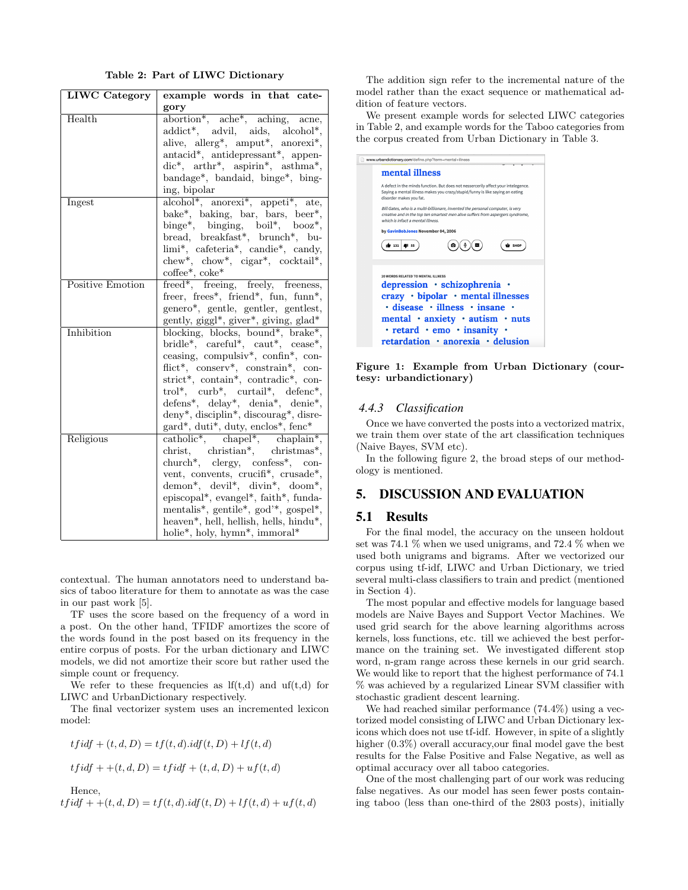Table 2: Part of LIWC Dictionary

| <b>LIWC</b> Category | example words in that cate-                                                                                                                  |  |  |
|----------------------|----------------------------------------------------------------------------------------------------------------------------------------------|--|--|
|                      | gory                                                                                                                                         |  |  |
| Health               | abortion*, ache*, aching, acne,                                                                                                              |  |  |
|                      | addict*, advil, aids, alcohol*,                                                                                                              |  |  |
|                      | alive, allerg*, amput*, anorexi*,                                                                                                            |  |  |
|                      | antacid*, antidepressant*, appen-                                                                                                            |  |  |
|                      | $dic^*, \text{arthr}^*, \text{ aspirin}^*, \text{ asthma}^*,$                                                                                |  |  |
|                      | bandage*, bandaid, binge*, bing-                                                                                                             |  |  |
|                      | ing, bipolar                                                                                                                                 |  |  |
| Ingest               | alcohol*, anorexi*, appeti*, ate,                                                                                                            |  |  |
|                      | bake*, baking, bar, bars, beer*,                                                                                                             |  |  |
|                      | binge*, binging, boil*, booz*,                                                                                                               |  |  |
|                      | bread, breakfast*, brunch*, bu-                                                                                                              |  |  |
|                      | limi*, cafeteria*, candie*, candy,                                                                                                           |  |  |
|                      | chew*, chow*, cigar*, cocktail*,                                                                                                             |  |  |
|                      | coffee*, coke*                                                                                                                               |  |  |
| Positive Emotion     | freed*, freeing, freely, freeness,                                                                                                           |  |  |
|                      | freer, frees <sup>*</sup> , friend <sup>*</sup> , fun, funn <sup>*</sup> ,                                                                   |  |  |
|                      | genero*, gentle, gentler, gentlest,                                                                                                          |  |  |
|                      | gently, giggl*, giver*, giving, glad*                                                                                                        |  |  |
| Inhibition           | blocking, blocks, bound*, brake*,                                                                                                            |  |  |
|                      | bridle*, careful*, caut*, cease*,                                                                                                            |  |  |
|                      | ceasing, compulsiv <sup>*</sup> , confin <sup>*</sup> , con-                                                                                 |  |  |
|                      | flict*, conserv*, constrain*, con-                                                                                                           |  |  |
|                      | strict*, contain*, contradic*, con-                                                                                                          |  |  |
|                      | trol*, curb*, curtail*, defenc*,                                                                                                             |  |  |
|                      | $\begin{array}{ll} \rm{defens^*,\quad delay^*,\quad denia^*,\quad denie^*,} \\ \rm{deny^*,\,disciplin^*,\,discourag^*,\,disce-} \end{array}$ |  |  |
|                      |                                                                                                                                              |  |  |
|                      | $\rm{gard}^*,$ duti*, duty, enclos*, fenc*                                                                                                   |  |  |
| Religious            | $\overline{\text{catholic*}}$ , chapel <sup>*</sup> , chaplain <sup>*</sup> , christmas <sup>*</sup> ,                                       |  |  |
|                      | church*, clergy, confess*, con-                                                                                                              |  |  |
|                      |                                                                                                                                              |  |  |
|                      | vent, convents, crucifi*, crusade*,<br>demon*, devil*, divin*, doom*,                                                                        |  |  |
|                      | episcopal*, evangel*, faith*, funda-                                                                                                         |  |  |
|                      | mentalis*, gentile*, god'*, gospel*,                                                                                                         |  |  |
|                      | heaven*, hell, hellish, hells, hindu*,                                                                                                       |  |  |
|                      |                                                                                                                                              |  |  |
|                      | holie*, holy, hymn*, immoral*                                                                                                                |  |  |

contextual. The human annotators need to understand basics of taboo literature for them to annotate as was the case in our past work [5].

TF uses the score based on the frequency of a word in a post. On the other hand, TFIDF amortizes the score of the words found in the post based on its frequency in the entire corpus of posts. For the urban dictionary and LIWC models, we did not amortize their score but rather used the simple count or frequency.

We refer to these frequencies as  $\text{If}(t,d)$  and  $\text{uf}(t,d)$  for LIWC and UrbanDictionary respectively.

The final vectorizer system uses an incremented lexicon model:

$$
tfidf + (t, d, D) = tf(t, d).idf(t, D) + lf(t, d)
$$

$$
tfidf + (t, d, D) = tfidf + (t, d, D) + uf(t, d)
$$

Hence,

$$
tfidf + +(t, d, D) = tf(t, d).idf(t, D) + lf(t, d) + uf(t, d)
$$

The addition sign refer to the incremental nature of the model rather than the exact sequence or mathematical addition of feature vectors.

We present example words for selected LIWC categories in Table 2, and example words for the Taboo categories from the corpus created from Urban Dictionary in Table 3.

| www.urbandictionary.com/define.php?term=mental+illness                                                                                                                                                                                                                                              |  |  |
|-----------------------------------------------------------------------------------------------------------------------------------------------------------------------------------------------------------------------------------------------------------------------------------------------------|--|--|
| mental illness                                                                                                                                                                                                                                                                                      |  |  |
| A defect in the minds function. But does not nessercerily affect your intelegence.<br>Saving a mental illness makes you crazy/stupid/funny is like saving an eating<br>disorder makes you fat.                                                                                                      |  |  |
| Bill Gates, who is a multi-billionare, invented the personal computer, is very<br>creative and in the top ten smartest men alive suffers from aspergers syndrome,<br>which is infact a mental illness                                                                                               |  |  |
| by GavinBobJones November 04, 2006                                                                                                                                                                                                                                                                  |  |  |
| <b>O</b> SHOP<br>$131$ $41$ 55                                                                                                                                                                                                                                                                      |  |  |
| <b>20 WORDS RELATED TO MENTAL ILLNESS</b><br>depression · schizophrenia ·<br>$crazy \cdot bipolar \cdot mental$ illnesses<br>$\cdot$ disease $\cdot$ illness $\cdot$ insane<br>mental · anxiety · autism · nuts<br>$\cdot$ retard $\cdot$ emo $\cdot$ insanity<br>retardation · anorexia · delusion |  |  |
|                                                                                                                                                                                                                                                                                                     |  |  |

Figure 1: Example from Urban Dictionary (courtesy: urbandictionary)

#### *4.4.3 Classification*

Once we have converted the posts into a vectorized matrix, we train them over state of the art classification techniques (Naive Bayes, SVM etc).

In the following figure 2, the broad steps of our methodology is mentioned.

## 5. DISCUSSION AND EVALUATION

#### 5.1 Results

For the final model, the accuracy on the unseen holdout set was 74.1 % when we used unigrams, and 72.4 % when we used both unigrams and bigrams. After we vectorized our corpus using tf-idf, LIWC and Urban Dictionary, we tried several multi-class classifiers to train and predict (mentioned in Section 4).

The most popular and effective models for language based models are Naive Bayes and Support Vector Machines. We used grid search for the above learning algorithms across kernels, loss functions, etc. till we achieved the best performance on the training set. We investigated different stop word, n-gram range across these kernels in our grid search. We would like to report that the highest performance of 74.1 % was achieved by a regularized Linear SVM classifier with stochastic gradient descent learning.

We had reached similar performance (74.4%) using a vectorized model consisting of LIWC and Urban Dictionary lexicons which does not use tf-idf. However, in spite of a slightly higher  $(0.3\%)$  overall accuracy, our final model gave the best results for the False Positive and False Negative, as well as optimal accuracy over all taboo categories.

One of the most challenging part of our work was reducing false negatives. As our model has seen fewer posts containing taboo (less than one-third of the 2803 posts), initially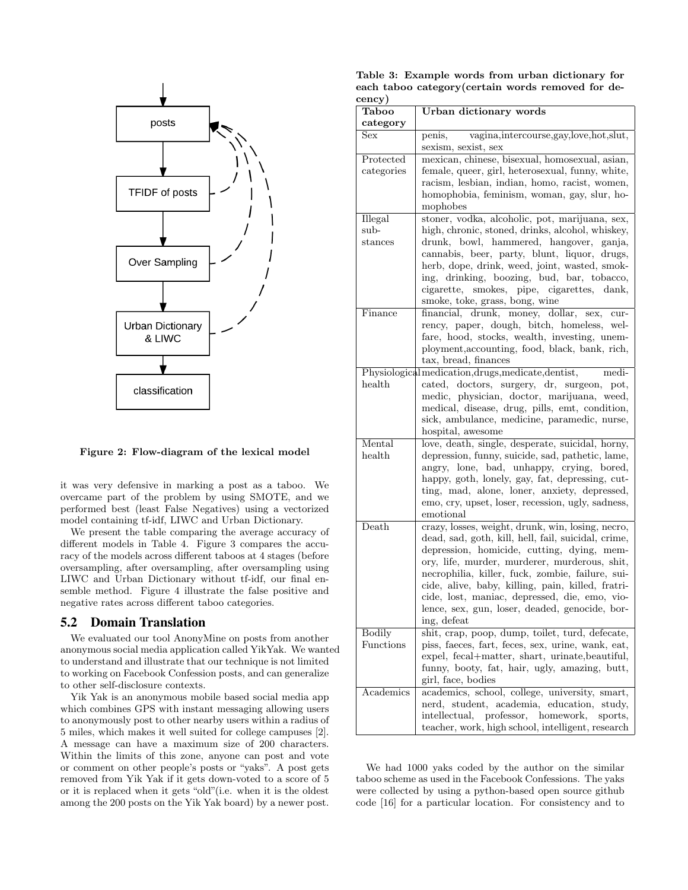

Figure 2: Flow-diagram of the lexical model

it was very defensive in marking a post as a taboo. We overcame part of the problem by using SMOTE, and we performed best (least False Negatives) using a vectorized model containing tf-idf, LIWC and Urban Dictionary.

We present the table comparing the average accuracy of different models in Table 4. Figure 3 compares the accuracy of the models across different taboos at 4 stages (before oversampling, after oversampling, after oversampling using LIWC and Urban Dictionary without tf-idf, our final ensemble method. Figure 4 illustrate the false positive and negative rates across different taboo categories.

#### 5.2 Domain Translation

We evaluated our tool AnonyMine on posts from another anonymous social media application called YikYak. We wanted to understand and illustrate that our technique is not limited to working on Facebook Confession posts, and can generalize to other self-disclosure contexts.

Yik Yak is an anonymous mobile based social media app which combines GPS with instant messaging allowing users to anonymously post to other nearby users within a radius of 5 miles, which makes it well suited for college campuses [2]. A message can have a maximum size of 200 characters. Within the limits of this zone, anyone can post and vote or comment on other people's posts or "yaks". A post gets removed from Yik Yak if it gets down-voted to a score of 5 or it is replaced when it gets "old"(i.e. when it is the oldest among the 200 posts on the Yik Yak board) by a newer post.

| Table 3: Example words from urban dictionary for   |  |
|----------------------------------------------------|--|
| each taboo category (certain words removed for de- |  |
| cency)                                             |  |

| $_{\rm{cene}y}$ )                             |                                                                             |  |
|-----------------------------------------------|-----------------------------------------------------------------------------|--|
| <b>Taboo</b><br>category                      | <b>Urban dictionary words</b>                                               |  |
|                                               |                                                                             |  |
| Sex                                           | vagina, intercourse, gay, love, hot, slut,<br>penis,<br>sexism, sexist, sex |  |
| Protected                                     | mexican, chinese, bisexual, homosexual, asian,                              |  |
| categories                                    | female, queer, girl, heterosexual, funny, white,                            |  |
| racism, lesbian, indian, homo, racist, women, |                                                                             |  |
|                                               | homophobia, feminism, woman, gay, slur, ho-                                 |  |
|                                               | mophobes                                                                    |  |
| Illegal                                       | stoner, vodka, alcoholic, pot, marijuana, sex,                              |  |
| sub-                                          | high, chronic, stoned, drinks, alcohol, whiskey,                            |  |
| ${\rm stances}$                               | drunk, bowl, hammered, hangover, ganja,                                     |  |
|                                               | cannabis, beer, party, blunt, liquor, drugs,                                |  |
|                                               | herb, dope, drink, weed, joint, wasted, smok-                               |  |
|                                               |                                                                             |  |
|                                               | ing, drinking, boozing, bud, bar, tobacco,                                  |  |
|                                               | cigarette, smokes, pipe, cigarettes, dank,                                  |  |
|                                               | smoke, toke, grass, bong, wine                                              |  |
| Finance                                       | financial, drunk, money, dollar, sex,<br>cur-                               |  |
|                                               | rency, paper, dough, bitch, homeless, wel-                                  |  |
|                                               | fare, hood, stocks, wealth, investing, unem-                                |  |
|                                               | ployment, accounting, food, black, bank, rich,                              |  |
|                                               | tax, bread, finances                                                        |  |
|                                               | Physiological medication, drugs, medicate, dentist,<br>medi-                |  |
| health                                        | cated, doctors, surgery, dr, surgeon, pot,                                  |  |
|                                               | medic, physician, doctor, marijuana, weed,                                  |  |
|                                               | medical, disease, drug, pills, emt, condition,                              |  |
|                                               | sick, ambulance, medicine, paramedic, nurse,                                |  |
|                                               | hospital, awesome                                                           |  |
| Mental                                        | love, death, single, desperate, suicidal, horny,                            |  |
|                                               | health<br>depression, funny, suicide, sad, pathetic, lame,                  |  |
|                                               | angry, lone, bad, unhappy, crying, bored,                                   |  |
|                                               | happy, goth, lonely, gay, fat, depressing, cut-                             |  |
|                                               | ting, mad, alone, loner, anxiety, depressed,                                |  |
|                                               | emo, cry, upset, loser, recession, ugly, sadness,                           |  |
|                                               | emotional                                                                   |  |
| Death                                         | crazy, losses, weight, drunk, win, losing, necro,                           |  |
|                                               | dead, sad, goth, kill, hell, fail, suicidal, crime,                         |  |
|                                               | depression, homicide, cutting, dying, mem-                                  |  |
|                                               | ory, life, murder, murderer, murderous, shit,                               |  |
|                                               | necrophilia, killer, fuck, zombie, failure, sui-                            |  |
|                                               | cide, alive, baby, killing, pain, killed, fratri-                           |  |
|                                               | cide, lost, maniac, depressed, die, emo, vio-                               |  |
|                                               | lence, sex, gun, loser, deaded, genocide, bor-                              |  |
|                                               | ing, defeat                                                                 |  |
| <b>Bodily</b>                                 | shit, crap, poop, dump, toilet, turd, defecate,                             |  |
| Functions                                     | piss, faces, fart, feces, sex, urine, wank, eat,                            |  |
|                                               | expel, fecal+matter, shart, urinate, beautiful,                             |  |
|                                               | funny, booty, fat, hair, ugly, amazing, butt,                               |  |
|                                               | girl, face, bodies                                                          |  |
| Academics                                     | academics, school, college, university, smart,                              |  |
|                                               | nerd, student, academia, education, study,                                  |  |
|                                               | professor,<br>homework,<br>intellectual,<br>sports,                         |  |
|                                               | teacher, work, high school, intelligent, research                           |  |

We had 1000 yaks coded by the author on the similar taboo scheme as used in the Facebook Confessions. The yaks were collected by using a python-based open source github code [16] for a particular location. For consistency and to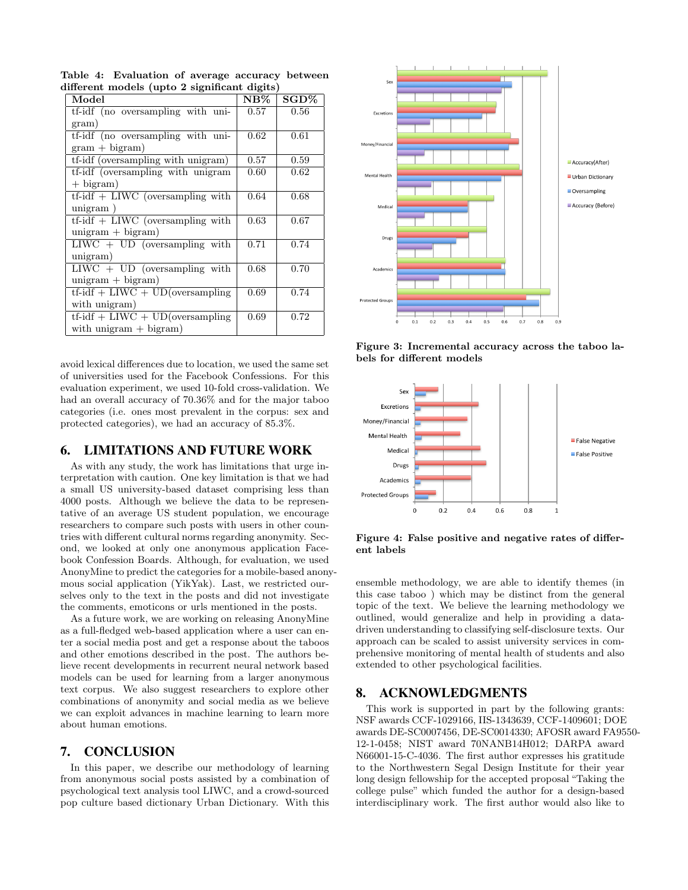| Model                              | $NB\%$ | $SGD\%$ |
|------------------------------------|--------|---------|
| tf-idf (no oversampling with uni-  | 0.57   | 0.56    |
| gram)                              |        |         |
| tf-idf (no oversampling with uni-  | 0.62   | 0.61    |
| $gram + bigram)$                   |        |         |
| tf-idf (oversampling with unigram) | 0.57   | 0.59    |
| tf-idf (oversampling with unigram  | 0.60   | 0.62    |
| $+$ bigram)                        |        |         |
| $tf-idf + LIWC$ (oversampling with | 0.64   | 0.68    |
| unigram)                           |        |         |
| $tf-idf + LIWC$ (oversampling with | 0.63   | 0.67    |
| $unigram + bigram)$                |        |         |
| $LIWC + UD$ (oversampling with     | 0.71   | 0.74    |
| unigram)                           |        |         |
| $LIWC + UD$ (oversampling with     | 0.68   | 0.70    |
| $unigram + bigram)$                |        |         |
| $tf-idf + LIWC + UD(oversampling)$ | 0.69   | 0.74    |
| with unigram)                      |        |         |
| $tf-idf + LIWC + UD(oversampling)$ | 0.69   | 0.72    |
| with unigram $+$ bigram)           |        |         |

Table 4: Evaluation of average accuracy between different models (upto 2 significant digits)

avoid lexical differences due to location, we used the same set of universities used for the Facebook Confessions. For this evaluation experiment, we used 10-fold cross-validation. We had an overall accuracy of  $70.36\%$  and for the major taboo categories (i.e. ones most prevalent in the corpus: sex and protected categories), we had an accuracy of 85.3%.

#### 6. LIMITATIONS AND FUTURE WORK

As with any study, the work has limitations that urge interpretation with caution. One key limitation is that we had a small US university-based dataset comprising less than 4000 posts. Although we believe the data to be representative of an average US student population, we encourage researchers to compare such posts with users in other countries with different cultural norms regarding anonymity. Second, we looked at only one anonymous application Facebook Confession Boards. Although, for evaluation, we used AnonyMine to predict the categories for a mobile-based anonymous social application (YikYak). Last, we restricted ourselves only to the text in the posts and did not investigate the comments, emoticons or urls mentioned in the posts.

As a future work, we are working on releasing AnonyMine as a full-fledged web-based application where a user can enter a social media post and get a response about the taboos and other emotions described in the post. The authors believe recent developments in recurrent neural network based models can be used for learning from a larger anonymous text corpus. We also suggest researchers to explore other combinations of anonymity and social media as we believe we can exploit advances in machine learning to learn more about human emotions.

## 7. CONCLUSION

In this paper, we describe our methodology of learning from anonymous social posts assisted by a combination of psychological text analysis tool LIWC, and a crowd-sourced pop culture based dictionary Urban Dictionary. With this



Figure 3: Incremental accuracy across the taboo labels for different models



Figure 4: False positive and negative rates of different labels

ensemble methodology, we are able to identify themes (in this case taboo ) which may be distinct from the general topic of the text. We believe the learning methodology we outlined, would generalize and help in providing a datadriven understanding to classifying self-disclosure texts. Our approach can be scaled to assist university services in comprehensive monitoring of mental health of students and also extended to other psychological facilities.

## 8. ACKNOWLEDGMENTS

This work is supported in part by the following grants: NSF awards CCF-1029166, IIS-1343639, CCF-1409601; DOE awards DE-SC0007456, DE-SC0014330; AFOSR award FA9550- 12-1-0458; NIST award 70NANB14H012; DARPA award N66001-15-C-4036. The first author expresses his gratitude to the Northwestern Segal Design Institute for their year long design fellowship for the accepted proposal "Taking the college pulse" which funded the author for a design-based interdisciplinary work. The first author would also like to